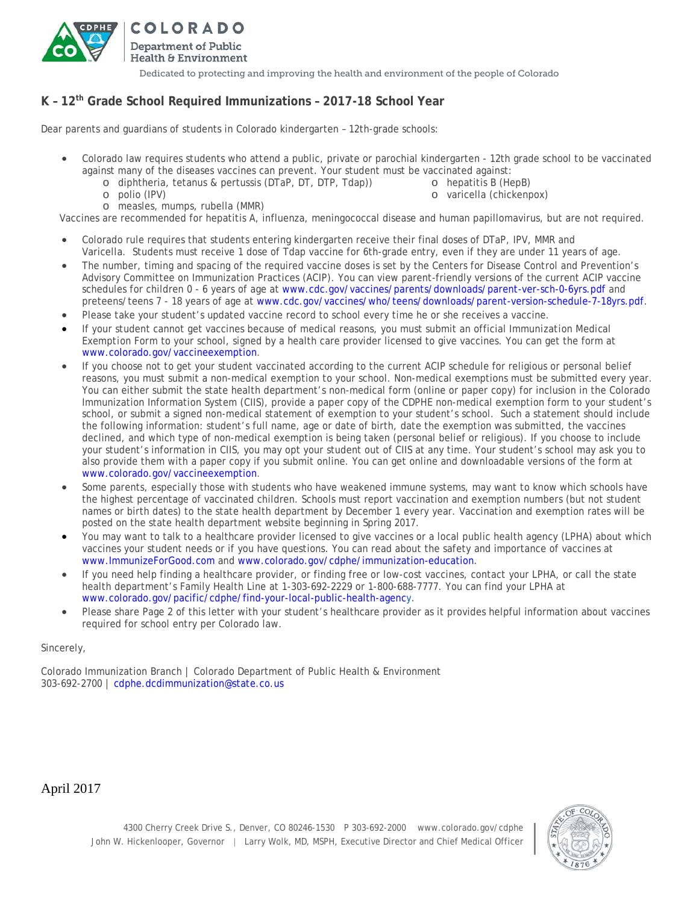

COLORADO Department of Public Health & Environment Dedicated to protecting and improving the health and environment of the people of Colorado

## **K – 12th Grade School Required Immunizations – 2017-18 School Year**

Dear parents and guardians of students in Colorado kindergarten – 12th-grade schools:

- Colorado law requires students who attend a public, private or parochial kindergarten 12th grade school to be vaccinated against many of the diseases vaccines can prevent. Your student must be vaccinated against:
	- o diphtheria, tetanus & pertussis (DTaP, DT, DTP, Tdap)) o polio (IPV)
- o hepatitis B (HepB) o varicella (chickenpox)

o measles, mumps, rubella (MMR)

Vaccines are recommended for hepatitis A, influenza, meningococcal disease and human papillomavirus, but are not required.

- Colorado rule requires that students entering kindergarten receive their final doses of DTaP, IPV, MMR and Varicella. Students must receive 1 dose of Tdap vaccine for 6th-grade entry, even if they are under 11 years of age.
- The number, timing and spacing of the required vaccine doses is set by the Centers for Disease Control and Prevention's Advisory Committee on Immunization Practices (ACIP). You can view parent-friendly versions of the current ACIP vaccine schedules for children 0 - 6 years of age at [www.cdc.gov/vaccines/parents/downloads/parent-ver-sch-0-6yrs.pdf](https://www.cdc.gov/vaccines/parents/downloads/parent-ver-sch-0-6yrs.pdf) and preteens/teens 7 - 18 years of age at [www.cdc.gov/vaccines/who/teens/downloads/parent-version-schedule-7-18yrs.pdf.](https://www.cdc.gov/vaccines/who/teens/downloads/parent-version-schedule-7-18yrs.pdf)
- Please take your student's updated vaccine record to school every time he or she receives a vaccine.
- If your student cannot get vaccines because of medical reasons, you must submit an official *Immunization Medical Exemption Form* to your school, signed by a health care provider licensed to give vaccines. You can get the form at [www.colorado.gov/vaccineexemption.](http://www.colorado.gov/vaccineexemption)
- If you choose not to get your student vaccinated according to the current ACIP schedule for religious or personal belief reasons, you must submit a non-medical exemption to your school. Non-medical exemptions must be submitted every year. You can either submit the state health department's non-medical form (online or paper copy) for inclusion in the Colorado Immunization Information System (CIIS), provide a paper copy of the CDPHE non-medical exemption form to your student's school, or submit a signed non-medical statement of exemption to your student's school. Such a statement should include the following information: student's full name, age or date of birth, date the exemption was submitted, the vaccines declined, and which type of non-medical exemption is being taken (personal belief or religious). If you choose to include your student's information in CIIS, you may opt your student out of CIIS at any time. Your student's school may ask you to also provide them with a paper copy if you submit online. You can get online and downloadable versions of the form at [www.colorado.gov/vaccineexemption.](http://www.colorado.gov/vaccineexemption)
- Some parents, especially those with students who have weakened immune systems, may want to know which schools have the highest percentage of vaccinated children. Schools must report vaccination and exemption numbers (but not student names or birth dates) to the state health department by December 1 every year. Vaccination and exemption rates will be posted on the state health department website beginning in Spring 2017.
- You may want to talk to a healthcare provider licensed to give vaccines or a local public health agency (LPHA) about which vaccines your student needs or if you have questions. You can read about the safety and importance of vaccines at [www.ImmunizeForGood.com](http://www.immunizeforgood.com/) and [www.colorado.gov/cdphe/immunization-education.](https://www.colorado.gov/cdphe/immunization-education)
- If you need help finding a healthcare provider, or finding free or low-cost vaccines, contact your LPHA, or call the state health department's Family Health Line at 1-303-692-2229 or 1-800-688-7777. You can find your LPHA at [www.colorado.gov/pacific/cdphe/find-your-local-public-health-agency.](https://www.colorado.gov/pacific/cdphe/find-your-local-public-health-agency)
- Please share Page 2 of this letter with your student's healthcare provider as it provides helpful information about vaccines required for school entry per Colorado law.

Sincerely,

Colorado Immunization Branch | Colorado Department of Public Health & Environment 303-692-2700 | [cdphe.dcdimmunization@state.co.us](mailto:cdphe.dcdimmunization@state.co.us)